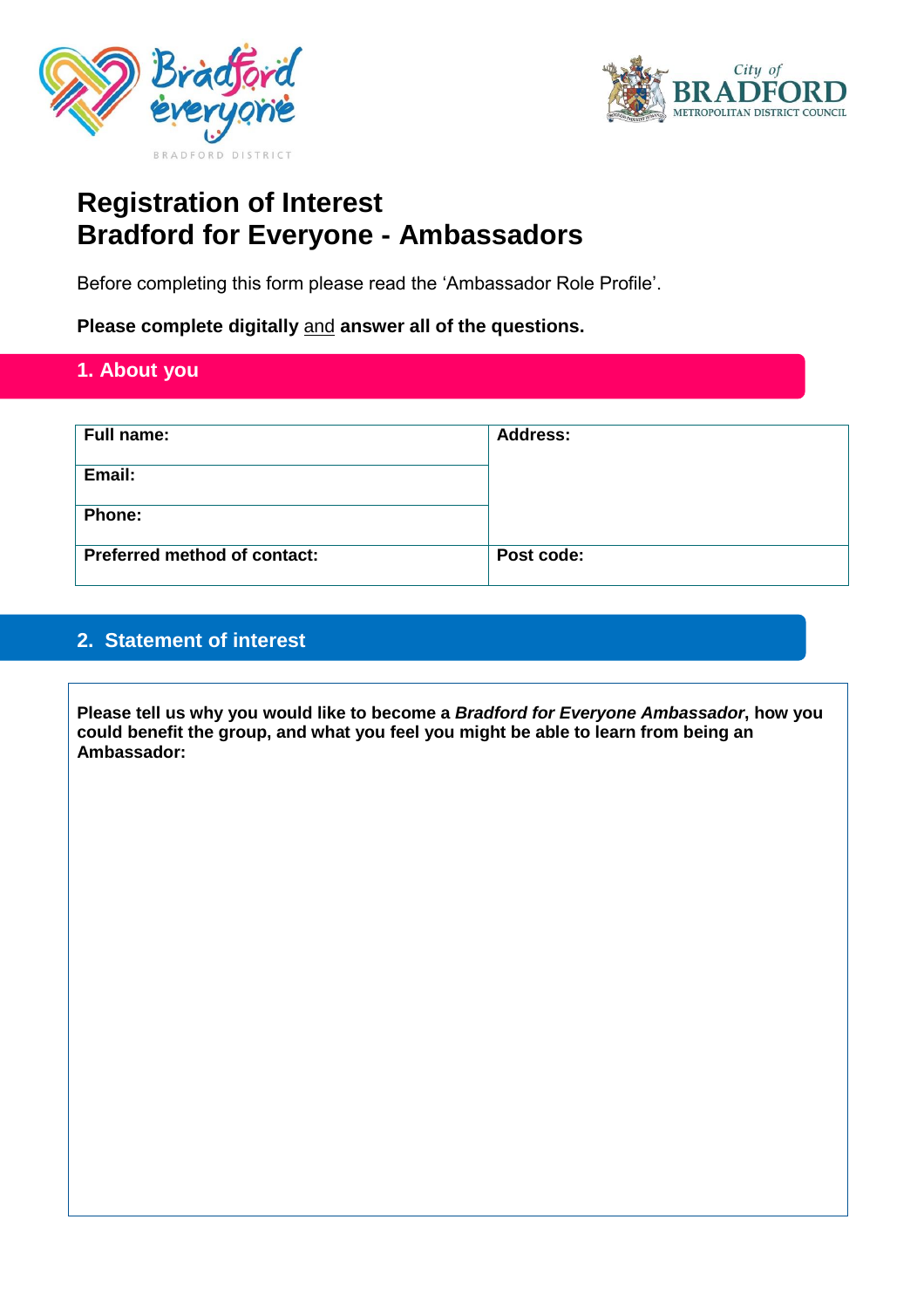



# **Registration of Interest Bradford for Everyone - Ambassadors**

Before completing this form please read the 'Ambassador Role Profile'.

**Please complete digitally** and **answer all of the questions.**

## **1. About you**

| <b>Full name:</b>                   | <b>Address:</b> |
|-------------------------------------|-----------------|
| Email:                              |                 |
| Phone:                              |                 |
| <b>Preferred method of contact:</b> | Post code:      |

### **2. Statement of interest**

**Please tell us why you would like to become a** *Bradford for Everyone Ambassador***, how you could benefit the group, and what you feel you might be able to learn from being an Ambassador:**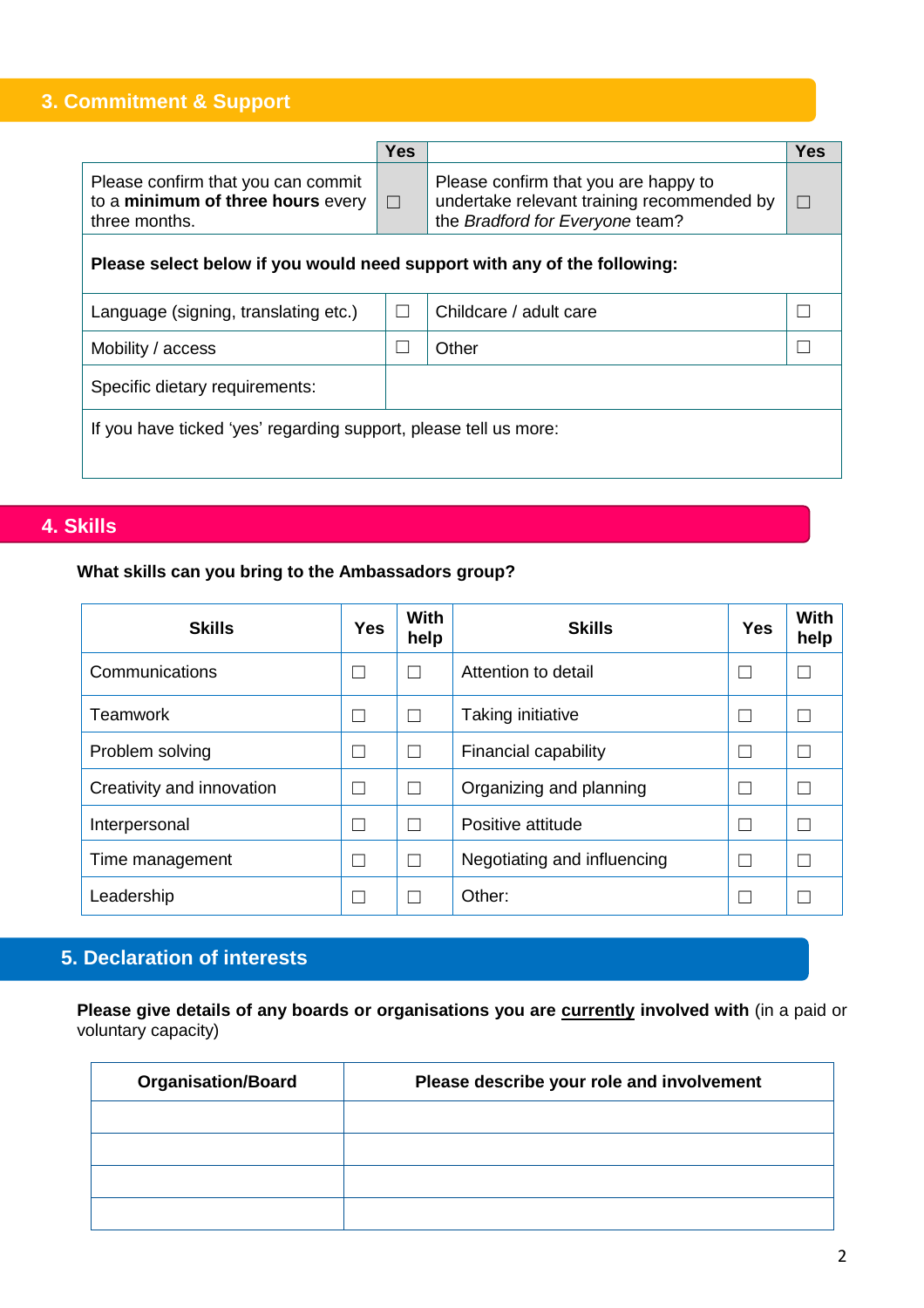# **3. Commitment & Support**

|                                                                                          | <b>Yes</b> |                                                                                                                       | <b>Yes</b> |  |  |  |
|------------------------------------------------------------------------------------------|------------|-----------------------------------------------------------------------------------------------------------------------|------------|--|--|--|
| Please confirm that you can commit<br>to a minimum of three hours every<br>three months. | $\Box$     | Please confirm that you are happy to<br>undertake relevant training recommended by<br>the Bradford for Everyone team? |            |  |  |  |
| Please select below if you would need support with any of the following:                 |            |                                                                                                                       |            |  |  |  |
| Language (signing, translating etc.)                                                     |            | Childcare / adult care                                                                                                |            |  |  |  |
| Mobility / access                                                                        |            | Other                                                                                                                 |            |  |  |  |
| Specific dietary requirements:                                                           |            |                                                                                                                       |            |  |  |  |
| If you have ticked 'yes' regarding support, please tell us more:                         |            |                                                                                                                       |            |  |  |  |

## **4. Skills**

#### **What skills can you bring to the Ambassadors group?**

| <b>Skills</b>             | <b>Yes</b> | <b>With</b><br>help | <b>Skills</b>               | <b>Yes</b> | <b>With</b><br>help |
|---------------------------|------------|---------------------|-----------------------------|------------|---------------------|
| Communications            |            |                     | Attention to detail         |            |                     |
| <b>Teamwork</b>           |            |                     | Taking initiative           |            |                     |
| Problem solving           |            |                     | Financial capability        |            |                     |
| Creativity and innovation |            |                     | Organizing and planning     |            |                     |
| Interpersonal             |            |                     | Positive attitude           |            |                     |
| Time management           |            |                     | Negotiating and influencing |            |                     |
| Leadership                |            |                     | Other:                      |            |                     |

# **5. Declaration of interests**

**Please give details of any boards or organisations you are currently involved with** (in a paid or voluntary capacity)

| <b>Organisation/Board</b> | Please describe your role and involvement |
|---------------------------|-------------------------------------------|
|                           |                                           |
|                           |                                           |
|                           |                                           |
|                           |                                           |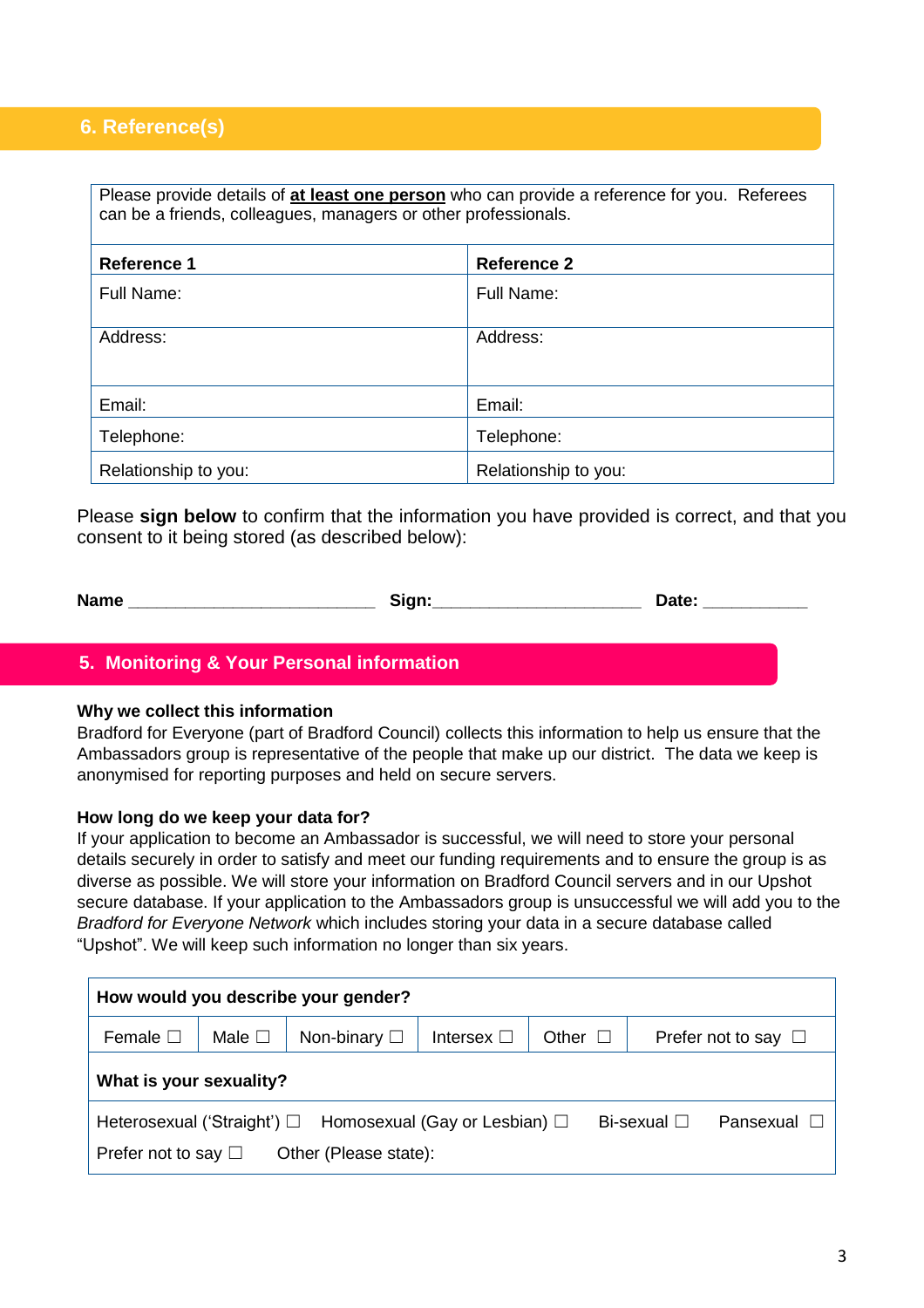### **6. Reference(s)**

| Please provide details of at least one person who can provide a reference for you. Referees<br>can be a friends, colleagues, managers or other professionals. |            |  |  |  |  |  |
|---------------------------------------------------------------------------------------------------------------------------------------------------------------|------------|--|--|--|--|--|
| <b>Reference 1</b><br><b>Reference 2</b>                                                                                                                      |            |  |  |  |  |  |
| Full Name:                                                                                                                                                    | Full Name: |  |  |  |  |  |
| Address:<br>Address:                                                                                                                                          |            |  |  |  |  |  |
| Email:<br>Email:                                                                                                                                              |            |  |  |  |  |  |
| Telephone:                                                                                                                                                    | Telephone: |  |  |  |  |  |
| Relationship to you:<br>Relationship to you:                                                                                                                  |            |  |  |  |  |  |

Please **sign below** to confirm that the information you have provided is correct, and that you consent to it being stored (as described below):

| <b>Name</b> | sian.<br>$\sim$ | ำat≏<br>-<br>---- |
|-------------|-----------------|-------------------|
|-------------|-----------------|-------------------|

#### **5. Monitoring & Your Personal information**

#### **Why we collect this information**

Bradford for Everyone (part of Bradford Council) collects this information to help us ensure that the Ambassadors group is representative of the people that make up our district. The data we keep is anonymised for reporting purposes and held on secure servers.

#### **How long do we keep your data for?**

If your application to become an Ambassador is successful, we will need to store your personal details securely in order to satisfy and meet our funding requirements and to ensure the group is as diverse as possible. We will store your information on Bradford Council servers and in our Upshot secure database. If your application to the Ambassadors group is unsuccessful we will add you to the *Bradford for Everyone Network* which includes storing your data in a secure database called "Upshot". We will keep such information no longer than six years.

| How would you describe your gender?                                                                                                      |                |                      |                    |       |             |                          |
|------------------------------------------------------------------------------------------------------------------------------------------|----------------|----------------------|--------------------|-------|-------------|--------------------------|
| Female $\square$                                                                                                                         | Male $\square$ | Non-binary $\square$ | Intersex $\square$ | Other |             | Prefer not to say $\Box$ |
| What is your sexuality?                                                                                                                  |                |                      |                    |       |             |                          |
| Heterosexual ('Straight') □ Homosexual (Gay or Lesbian) □<br>Bi-sexual $\square$<br>Other (Please state):<br>Prefer not to say $\square$ |                |                      |                    |       | Pansexual D |                          |